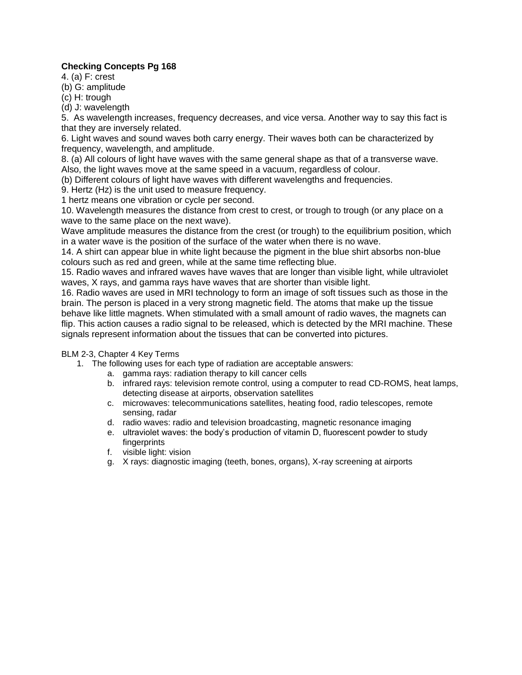## **Checking Concepts Pg 168**

4. (a) F: crest

(b) G: amplitude

(c) H: trough

(d) J: wavelength

5. As wavelength increases, frequency decreases, and vice versa. Another way to say this fact is that they are inversely related.

6. Light waves and sound waves both carry energy. Their waves both can be characterized by frequency, wavelength, and amplitude.

8. (a) All colours of light have waves with the same general shape as that of a transverse wave. Also, the light waves move at the same speed in a vacuum, regardless of colour.

(b) Different colours of light have waves with different wavelengths and frequencies.

9. Hertz (Hz) is the unit used to measure frequency.

1 hertz means one vibration or cycle per second.

10. Wavelength measures the distance from crest to crest, or trough to trough (or any place on a wave to the same place on the next wave).

Wave amplitude measures the distance from the crest (or trough) to the equilibrium position, which in a water wave is the position of the surface of the water when there is no wave.

14. A shirt can appear blue in white light because the pigment in the blue shirt absorbs non-blue colours such as red and green, while at the same time reflecting blue.

15. Radio waves and infrared waves have waves that are longer than visible light, while ultraviolet waves, X rays, and gamma rays have waves that are shorter than visible light.

16. Radio waves are used in MRI technology to form an image of soft tissues such as those in the brain. The person is placed in a very strong magnetic field. The atoms that make up the tissue behave like little magnets. When stimulated with a small amount of radio waves, the magnets can flip. This action causes a radio signal to be released, which is detected by the MRI machine. These signals represent information about the tissues that can be converted into pictures.

## BLM 2-3, Chapter 4 Key Terms

1. The following uses for each type of radiation are acceptable answers:

- a. gamma rays: radiation therapy to kill cancer cells
	- b. infrared rays: television remote control, using a computer to read CD-ROMS, heat lamps, detecting disease at airports, observation satellites
	- c. microwaves: telecommunications satellites, heating food, radio telescopes, remote sensing, radar
	- d. radio waves: radio and television broadcasting, magnetic resonance imaging
	- e. ultraviolet waves: the body's production of vitamin D, fluorescent powder to study fingerprints
	- f. visible light: vision
	- g. X rays: diagnostic imaging (teeth, bones, organs), X-ray screening at airports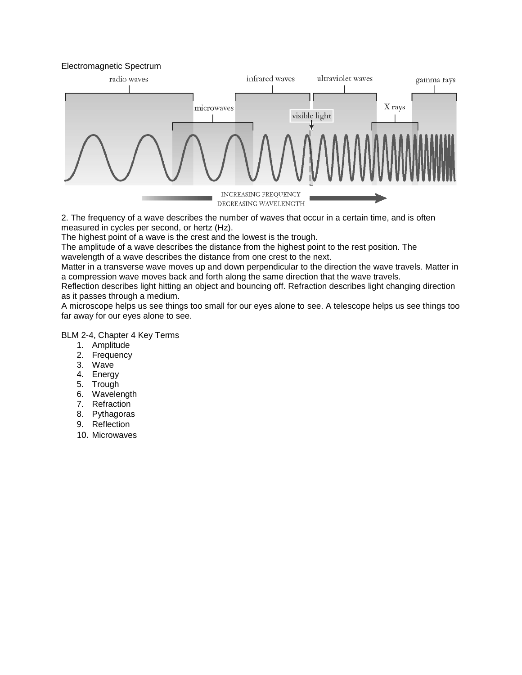



2. The frequency of a wave describes the number of waves that occur in a certain time, and is often measured in cycles per second, or hertz (Hz).

The highest point of a wave is the crest and the lowest is the trough.

The amplitude of a wave describes the distance from the highest point to the rest position. The

wavelength of a wave describes the distance from one crest to the next.

Matter in a transverse wave moves up and down perpendicular to the direction the wave travels. Matter in a compression wave moves back and forth along the same direction that the wave travels.

Reflection describes light hitting an object and bouncing off. Refraction describes light changing direction as it passes through a medium.

A microscope helps us see things too small for our eyes alone to see. A telescope helps us see things too far away for our eyes alone to see.

BLM 2-4, Chapter 4 Key Terms

- 1. Amplitude
- 2. Frequency
- 3. Wave
- 4. Energy
- 5. Trough
- 6. Wavelength
- 7. Refraction
- 8. Pythagoras
- 9. Reflection
- 10. Microwaves